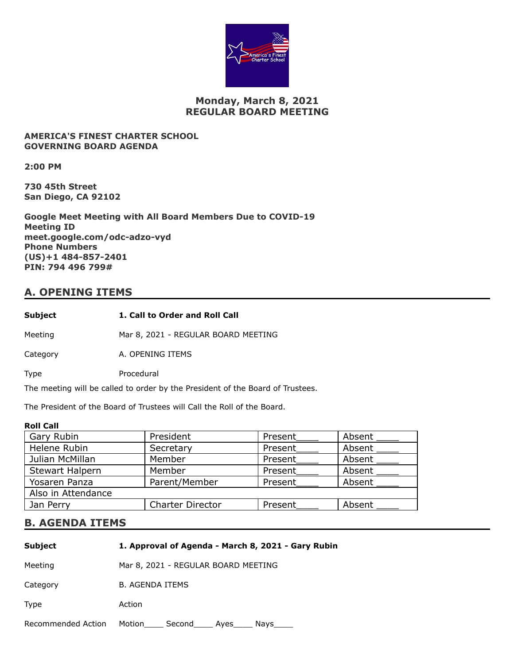

## **Monday, March 8, 2021 REGULAR BOARD MEETING**

### **AMERICA'S FINEST CHARTER SCHOOL GOVERNING BOARD AGENDA**

**2:00 PM**

**730 45th Street San Diego, CA 92102**

**Google Meet Meeting with All Board Members Due to COVID-19 Meeting ID meet.google.com/odc-adzo-vyd Phone Numbers (US)+1 484-857-2401 PIN: 794 496 799#**

## **A. OPENING ITEMS**

| Subject  | 1. Call to Order and Roll Call      |
|----------|-------------------------------------|
| Meeting  | Mar 8, 2021 - REGULAR BOARD MEETING |
| Category | A. OPENING ITEMS                    |
| Type     | Procedural                          |

The meeting will be called to order by the President of the Board of Trustees.

The President of the Board of Trustees will Call the Roll of the Board.

### **Roll Call**

| Gary Rubin             | President               | Present | Absent |
|------------------------|-------------------------|---------|--------|
| Helene Rubin           | Secretary               | Present | Absent |
| Julian McMillan        | Member                  | Present | Absent |
| <b>Stewart Halpern</b> | Member                  | Present | Absent |
| Yosaren Panza          | Parent/Member           | Present | Absent |
| Also in Attendance     |                         |         |        |
| Jan Perry              | <b>Charter Director</b> | Present | Absent |
|                        |                         |         |        |

### **B. AGENDA ITEMS**

| <b>Subject</b>     | 1. Approval of Agenda - March 8, 2021 - Gary Rubin |
|--------------------|----------------------------------------------------|
| Meeting            | Mar 8, 2021 - REGULAR BOARD MEETING                |
| Category           | <b>B. AGENDA ITEMS</b>                             |
| <b>Type</b>        | Action                                             |
| Recommended Action | Motion<br>Second<br>Ayes<br>Nays                   |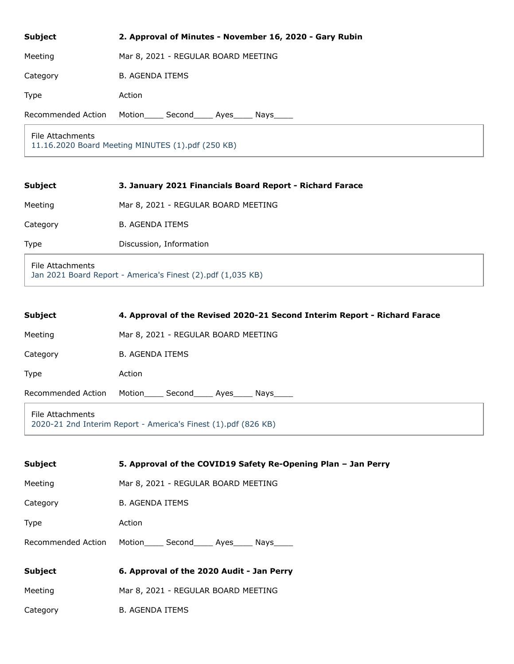| <b>Subject</b>     | 2. Approval of Minutes - November 16, 2020 - Gary Rubin |
|--------------------|---------------------------------------------------------|
| Meeting            | Mar 8, 2021 - REGULAR BOARD MEETING                     |
| Category           | <b>B. AGENDA ITEMS</b>                                  |
| <b>Type</b>        | Action                                                  |
| Recommended Action | Motion<br>Second Ayes Nays                              |
| File Attachments   |                                                         |

[11.16.2020 Board Meeting MINUTES \(1\).pdf \(250 KB\)](https://go.boarddocs.com/ca/americasfinest/Board.nsf/files/BYRS4T704B41/$file/11.16.2020%20Board%20Meeting%20MINUTES%20(1).pdf)

| <b>Subject</b>                                                                  | 3. January 2021 Financials Board Report - Richard Farace |
|---------------------------------------------------------------------------------|----------------------------------------------------------|
| Meeting                                                                         | Mar 8, 2021 - REGULAR BOARD MEETING                      |
| Category                                                                        | <b>B. AGENDA ITEMS</b>                                   |
| <b>Type</b>                                                                     | Discussion, Information                                  |
| File Attachments<br>Jan 2021 Board Report - America's Finest (2).pdf (1,035 KB) |                                                          |

| <b>Subject</b>                                                                     | 4. Approval of the Revised 2020-21 Second Interim Report - Richard Farace |
|------------------------------------------------------------------------------------|---------------------------------------------------------------------------|
| Meeting                                                                            | Mar 8, 2021 - REGULAR BOARD MEETING                                       |
| Category                                                                           | <b>B. AGENDA ITEMS</b>                                                    |
| <b>Type</b>                                                                        | Action                                                                    |
| Recommended Action                                                                 | Motion<br>Second Ayes Nays                                                |
| File Attachments<br>2020-21 2nd Interim Report - America's Finest (1).pdf (826 KB) |                                                                           |

| <b>Subject</b>     | 5. Approval of the COVID19 Safety Re-Opening Plan – Jan Perry |  |
|--------------------|---------------------------------------------------------------|--|
| Meeting            | Mar 8, 2021 - REGULAR BOARD MEETING                           |  |
| Category           | <b>B. AGENDA ITEMS</b>                                        |  |
| <b>Type</b>        | Action                                                        |  |
| Recommended Action | Motion Second Ayes Nays                                       |  |
| <b>Subject</b>     | 6. Approval of the 2020 Audit - Jan Perry                     |  |
|                    |                                                               |  |
| Meeting            | Mar 8, 2021 - REGULAR BOARD MEETING                           |  |
| Category           | <b>B. AGENDA ITEMS</b>                                        |  |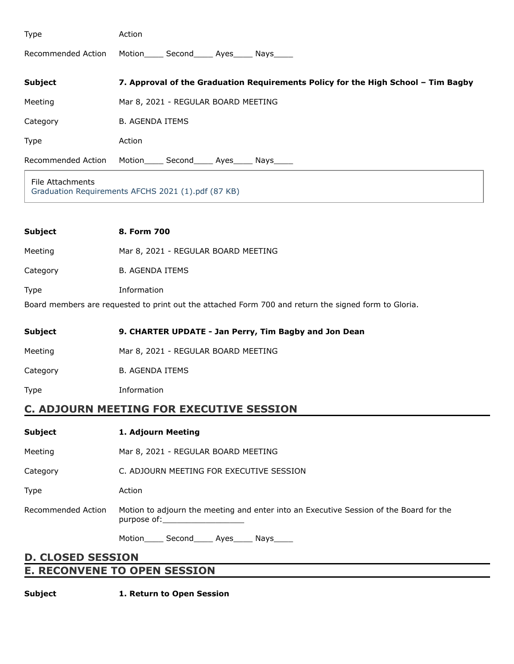| Type                                                                   | Action                                                                            |
|------------------------------------------------------------------------|-----------------------------------------------------------------------------------|
| Recommended Action                                                     | Motion______ Second______ Ayes______ Nays_____                                    |
| <b>Subject</b>                                                         | 7. Approval of the Graduation Requirements Policy for the High School - Tim Bagby |
| Meeting                                                                | Mar 8, 2021 - REGULAR BOARD MEETING                                               |
| Category                                                               | <b>B. AGENDA ITEMS</b>                                                            |
| Type                                                                   | Action                                                                            |
| Recommended Action                                                     | Motion______ Second______ Ayes______ Nays_____                                    |
| File Attachments<br>Graduation Requirements AFCHS 2021 (1).pdf (87 KB) |                                                                                   |
|                                                                        |                                                                                   |
| <b>Subject</b>                                                         | 8. Form 700                                                                       |

Meeting Mar 8, 2021 - REGULAR BOARD MEETING

Category B. AGENDA ITEMS

Type Information

Board members are requested to print out the attached Form 700 and return the signed form to Gloria.

| Subject  | 9. CHARTER UPDATE - Jan Perry, Tim Bagby and Jon Dean |
|----------|-------------------------------------------------------|
| Meeting  | Mar 8, 2021 - REGULAR BOARD MEETING                   |
| Category | <b>B. AGENDA ITEMS</b>                                |
| Type     | Information                                           |
|          |                                                       |

# **C. ADJOURN MEETING FOR EXECUTIVE SESSION**

| <b>Subject</b>           | 1. Adjourn Meeting                                                                                                                                                                                                                                                                                                       |  |
|--------------------------|--------------------------------------------------------------------------------------------------------------------------------------------------------------------------------------------------------------------------------------------------------------------------------------------------------------------------|--|
| Meeting                  | Mar 8, 2021 - REGULAR BOARD MEETING                                                                                                                                                                                                                                                                                      |  |
| Category                 | C. ADJOURN MEETING FOR EXECUTIVE SESSION                                                                                                                                                                                                                                                                                 |  |
| Type                     | Action                                                                                                                                                                                                                                                                                                                   |  |
| Recommended Action       | Motion to adjourn the meeting and enter into an Executive Session of the Board for the<br>purpose of: the contract of the contract of the contract of the contract of the contract of the contract of the contract of the contract of the contract of the contract of the contract of the contract of the contract of th |  |
|                          | Motion _____ Second______ Ayes______ Nays_____                                                                                                                                                                                                                                                                           |  |
| <b>D. CLOSED SESSION</b> |                                                                                                                                                                                                                                                                                                                          |  |

# **E. RECONVENE TO OPEN SESSION**

**Subject 1. Return to Open Session**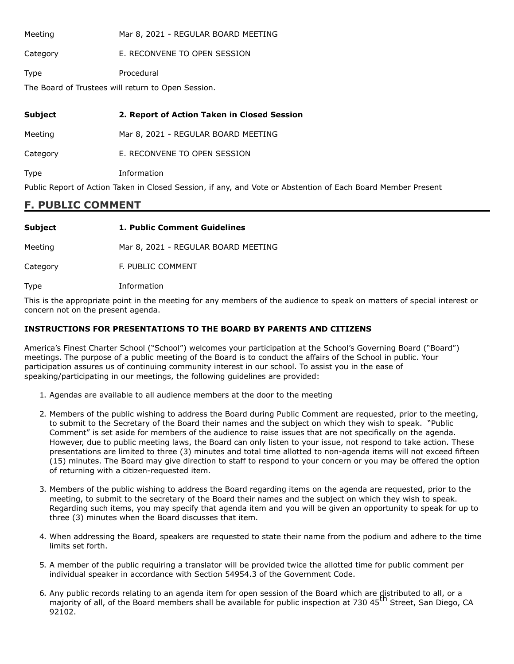Meeting Mar 8, 2021 - REGULAR BOARD MEETING

Category **E. RECONVENE TO OPEN SESSION** 

Type Procedural

The Board of Trustees will return to Open Session.

## **Subject 2. Report of Action Taken in Closed Session**

Meeting Mar 8, 2021 - REGULAR BOARD MEETING

Category **E. RECONVENE TO OPEN SESSION** 

Type Information

Public Report of Action Taken in Closed Session, if any, and Vote or Abstention of Each Board Member Present

### **F. PUBLIC COMMENT**

| <b>Subject</b> | 1. Public Comment Guidelines        |
|----------------|-------------------------------------|
| Meeting        | Mar 8, 2021 - REGULAR BOARD MEETING |

Category F. PUBLIC COMMENT

Type Information

This is the appropriate point in the meeting for any members of the audience to speak on matters of special interest or concern not on the present agenda.

### **INSTRUCTIONS FOR PRESENTATIONS TO THE BOARD BY PARENTS AND CITIZENS**

America's Finest Charter School ("School") welcomes your participation at the School's Governing Board ("Board") meetings. The purpose of a public meeting of the Board is to conduct the affairs of the School in public. Your participation assures us of continuing community interest in our school. To assist you in the ease of speaking/participating in our meetings, the following guidelines are provided:

- 1. Agendas are available to all audience members at the door to the meeting
- 2. Members of the public wishing to address the Board during Public Comment are requested, prior to the meeting, to submit to the Secretary of the Board their names and the subject on which they wish to speak. "Public Comment" is set aside for members of the audience to raise issues that are not specifically on the agenda. However, due to public meeting laws, the Board can only listen to your issue, not respond to take action. These presentations are limited to three (3) minutes and total time allotted to non-agenda items will not exceed fifteen (15) minutes. The Board may give direction to staff to respond to your concern or you may be offered the option of returning with a citizen-requested item.
- 3. Members of the public wishing to address the Board regarding items on the agenda are requested, prior to the meeting, to submit to the secretary of the Board their names and the subject on which they wish to speak. Regarding such items, you may specify that agenda item and you will be given an opportunity to speak for up to three (3) minutes when the Board discusses that item.
- 4. When addressing the Board, speakers are requested to state their name from the podium and adhere to the time limits set forth.
- 5. A member of the public requiring a translator will be provided twice the allotted time for public comment per individual speaker in accordance with Section 54954.3 of the Government Code.
- 6. Any public records relating to an agenda item for open session of the Board which are distributed to all, or a majority of all, of the Board members shall be available for public inspection at 730 45<sup>th</sup> Street, San Diego, CA 92102.